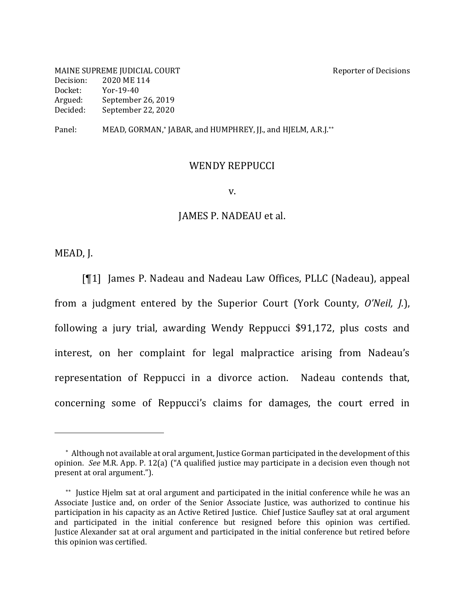MAINE SUPREME JUDICIAL COURT SERVICE SUPREME TO DECISIONS Decision: 2020 ME 114 Docket: Yor-19-40 Argued: September 26, 2019 Decided: September 22, 2020

Panel: MEAD, GORMAN,\* JABAR, and HUMPHREY, J., and HJELM, A.R.J.\*\*

## WENDY REPPUCCI

v.

## JAMES P. NADEAU et al.

MEAD, J.

 $\overline{a}$ 

[¶1] James P. Nadeau and Nadeau Law Offices, PLLC (Nadeau), appeal from a judgment entered by the Superior Court (York County, O'Neil, J.), following a jury trial, awarding Wendy Reppucci \$91,172, plus costs and interest, on her complaint for legal malpractice arising from Nadeau's representation of Reppucci in a divorce action. Nadeau contends that, concerning some of Reppucci's claims for damages, the court erred in

<sup>\*</sup> Although not available at oral argument, Justice Gorman participated in the development of this opinion. See M.R. App. P. 12(a) ("A qualified justice may participate in a decision even though not present at oral argument.").

<sup>\*\*</sup> Justice Hjelm sat at oral argument and participated in the initial conference while he was an Associate Justice and, on order of the Senior Associate Justice, was authorized to continue his participation in his capacity as an Active Retired Justice. Chief Justice Saufley sat at oral argument and participated in the initial conference but resigned before this opinion was certified. Justice Alexander sat at oral argument and participated in the initial conference but retired before this opinion was certified.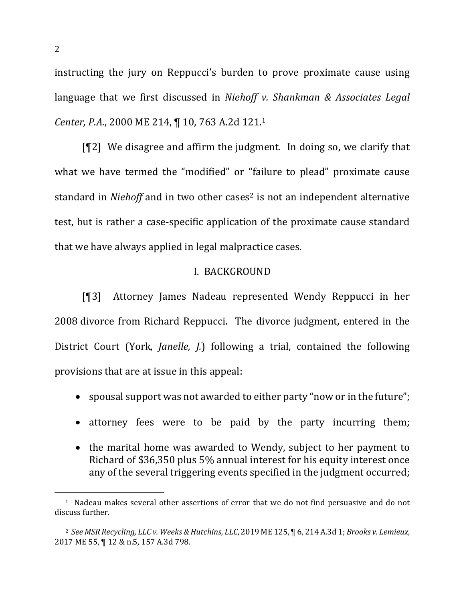instructing the jury on Reppucci's burden to prove proximate cause using language that we first discussed in *Niehoff v. Shankman & Associates Legal Center, P.A.*, 2000 ME 214, ¶ 10, 763 A.2d 121.<sup>1</sup>

 $[T2]$  We disagree and affirm the judgment. In doing so, we clarify that what we have termed the "modified" or "failure to plead" proximate cause standard in *Niehoff* and in two other cases<sup>2</sup> is not an independent alternative test, but is rather a case-specific application of the proximate cause standard that we have always applied in legal malpractice cases.

## I. BACKGROUND

[¶3] Attorney James Nadeau represented Wendy Reppucci in her 2008 divorce from Richard Reppucci. The divorce judgment, entered in the District Court (York, *Janelle, J.*) following a trial, contained the following provisions that are at issue in this appeal:

- spousal support was not awarded to either party "now or in the future";
- attorney fees were to be paid by the party incurring them;
- the marital home was awarded to Wendy, subject to her payment to Richard of \$36,350 plus 5% annual interest for his equity interest once any of the several triggering events specified in the judgment occurred;

<sup>&</sup>lt;sup>1</sup> Nadeau makes several other assertions of error that we do not find persuasive and do not discuss further.

<sup>&</sup>lt;sup>2</sup> See MSR Recycling, LLC v. Weeks & Hutchins, LLC, 2019 ME 125, ¶ 6, 214 A.3d 1; *Brooks v. Lemieux*, 2017 ME 55, ¶ 12 & n.5, 157 A.3d 798.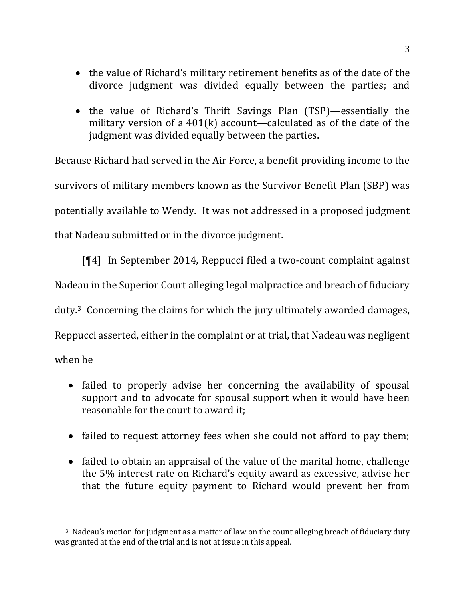- the value of Richard's military retirement benefits as of the date of the divorce judgment was divided equally between the parties; and
- the value of Richard's Thrift Savings Plan (TSP)—essentially the military version of a  $401(k)$  account—calculated as of the date of the judgment was divided equally between the parties.

Because Richard had served in the Air Force, a benefit providing income to the survivors of military members known as the Survivor Benefit Plan (SBP) was potentially available to Wendy. It was not addressed in a proposed judgment that Nadeau submitted or in the divorce judgment.

 $[$ [4] In September 2014, Reppucci filed a two-count complaint against Nadeau in the Superior Court alleging legal malpractice and breach of fiduciary duty. $3$  Concerning the claims for which the jury ultimately awarded damages, Reppucci asserted, either in the complaint or at trial, that Nadeau was negligent when he

- failed to properly advise her concerning the availability of spousal support and to advocate for spousal support when it would have been reasonable for the court to award it:
- failed to request attorney fees when she could not afford to pay them;
- failed to obtain an appraisal of the value of the marital home, challenge the 5% interest rate on Richard's equity award as excessive, advise her that the future equity payment to Richard would prevent her from

<sup>&</sup>lt;sup>3</sup> Nadeau's motion for judgment as a matter of law on the count alleging breach of fiduciary duty was granted at the end of the trial and is not at issue in this appeal.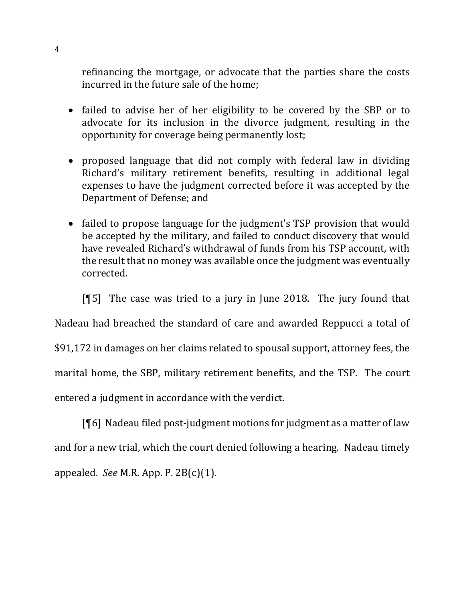refinancing the mortgage, or advocate that the parties share the costs incurred in the future sale of the home:

- failed to advise her of her eligibility to be covered by the SBP or to advocate for its inclusion in the divorce judgment, resulting in the opportunity for coverage being permanently lost;
- proposed language that did not comply with federal law in dividing Richard's military retirement benefits, resulting in additional legal expenses to have the judgment corrected before it was accepted by the Department of Defense; and
- failed to propose language for the judgment's TSP provision that would be accepted by the military, and failed to conduct discovery that would have revealed Richard's withdrawal of funds from his TSP account, with the result that no money was available once the judgment was eventually corrected.

 $[\n{\textsf{M5}}]$  The case was tried to a jury in June 2018. The jury found that

Nadeau had breached the standard of care and awarded Reppucci a total of

\$91,172 in damages on her claims related to spousal support, attorney fees, the marital home, the SBP, military retirement benefits, and the TSP. The court entered a judgment in accordance with the verdict.

 $[\P6]$  Nadeau filed post-judgment motions for judgment as a matter of law and for a new trial, which the court denied following a hearing. Nadeau timely appealed. *See* M.R. App. P. 2B(c)(1).

4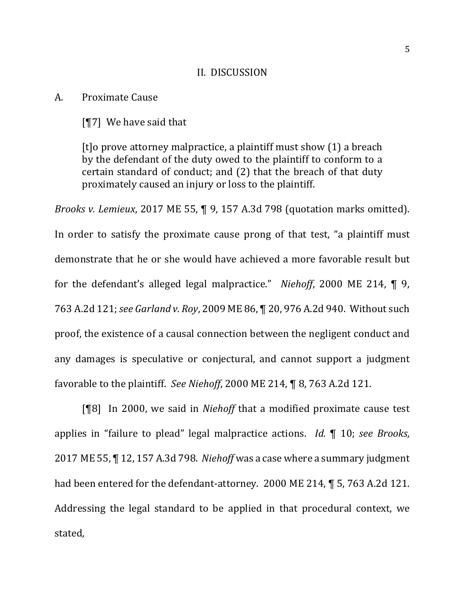## II. DISCUSSION

A. Proximate Cause

 $[T7]$  We have said that

[t]o prove attorney malpractice, a plaintiff must show  $(1)$  a breach by the defendant of the duty owed to the plaintiff to conform to a certain standard of conduct; and (2) that the breach of that duty proximately caused an injury or loss to the plaintiff.

*Brooks v. Lemieux*, 2017 ME 55, ¶ 9, 157 A.3d 798 (quotation marks omitted). In order to satisfy the proximate cause prong of that test, "a plaintiff must demonstrate that he or she would have achieved a more favorable result but for the defendant's alleged legal malpractice." *Niehoff*, 2000 ME 214, **[9**, 763 A.2d 121; *see Garland v. Roy*, 2009 ME 86, ¶ 20, 976 A.2d 940. Without such proof, the existence of a causal connection between the negligent conduct and any damages is speculative or conjectural, and cannot support a judgment favorable to the plaintiff. See Niehoff, 2000 ME 214,  $\P$  8, 763 A.2d 121.

**[**¶8] In 2000, we said in *Niehoff* that a modified proximate cause test applies in "failure to plead" legal malpractice actions. *Id.* ¶ 10; *see Brooks*, 2017 ME 55,  $\P$  12, 157 A.3d 798. *Niehoff* was a case where a summary judgment had been entered for the defendant-attorney.  $2000$  ME 214,  $\P$  5, 763 A.2d 121. Addressing the legal standard to be applied in that procedural context, we stated,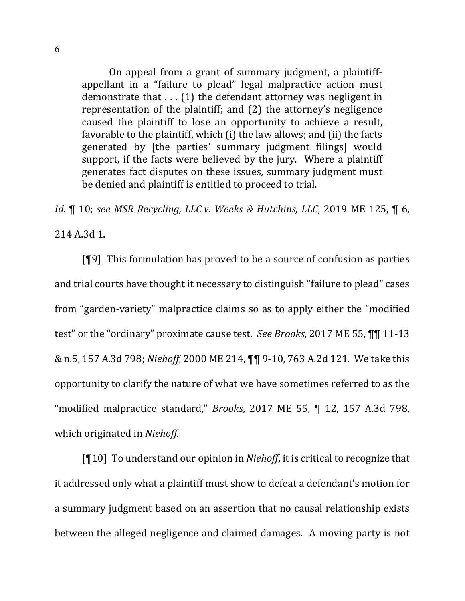On appeal from a grant of summary judgment, a plaintiffappellant in a "failure to plead" legal malpractice action must demonstrate that  $\dots$  (1) the defendant attorney was negligent in representation of the plaintiff; and  $(2)$  the attorney's negligence caused the plaintiff to lose an opportunity to achieve a result, favorable to the plaintiff, which (i) the law allows; and (ii) the facts generated by [the parties' summary judgment filings] would support, if the facts were believed by the jury. Where a plaintiff generates fact disputes on these issues, summary judgment must be denied and plaintiff is entitled to proceed to trial.

*Id.*  $\P$  10; *see MSR Recycling, LLC v. Weeks & Hutchins, LLC,* 2019 ME 125,  $\P$  6, 214 A.3d 1.

 $[$ [[9] This formulation has proved to be a source of confusion as parties and trial courts have thought it necessary to distinguish "failure to plead" cases from "garden-variety" malpractice claims so as to apply either the "modified test" or the "ordinary" proximate cause test. See Brooks, 2017 ME 55,  $\P\P$  11-13 & n.5, 157 A.3d 798; *Niehoff*, 2000 ME 214,  $\P\P$  9-10, 763 A.2d 121. We take this opportunity to clarify the nature of what we have sometimes referred to as the "modified malpractice standard," *Brooks*, 2017 ME 55, ¶ 12, 157 A.3d 798, which originated in *Niehoff.* 

[¶10] To understand our opinion in *Niehoff*, it is critical to recognize that it addressed only what a plaintiff must show to defeat a defendant's motion for a summary judgment based on an assertion that no causal relationship exists between the alleged negligence and claimed damages. A moving party is not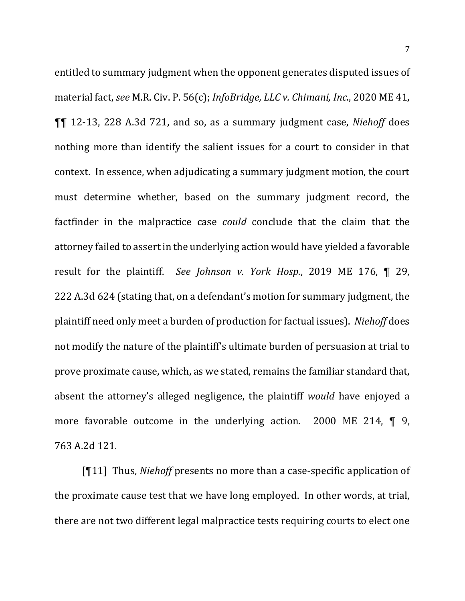entitled to summary judgment when the opponent generates disputed issues of material fact, see M.R. Civ. P. 56(c); *InfoBridge, LLC v. Chimani, Inc.*, 2020 ME 41, **[17** 12-13, 228 A.3d 721, and so, as a summary judgment case, *Niehoff* does nothing more than identify the salient issues for a court to consider in that context. In essence, when adjudicating a summary judgment motion, the court must determine whether, based on the summary judgment record, the factfinder in the malpractice case *could* conclude that the claim that the attorney failed to assert in the underlying action would have yielded a favorable result for the plaintiff. See *Johnson v. York Hosp.*, 2019 ME 176, ¶ 29, 222 A.3d 624 (stating that, on a defendant's motion for summary judgment, the plaintiff need only meet a burden of production for factual issues). Niehoff does not modify the nature of the plaintiff's ultimate burden of persuasion at trial to prove proximate cause, which, as we stated, remains the familiar standard that, absent the attorney's alleged negligence, the plaintiff *would* have enjoyed a more favorable outcome in the underlying action.  $2000$  ME 214,  $\P$  9, 763 A.2d 121.

[¶11] Thus, *Niehoff* presents no more than a case-specific application of the proximate cause test that we have long employed. In other words, at trial, there are not two different legal malpractice tests requiring courts to elect one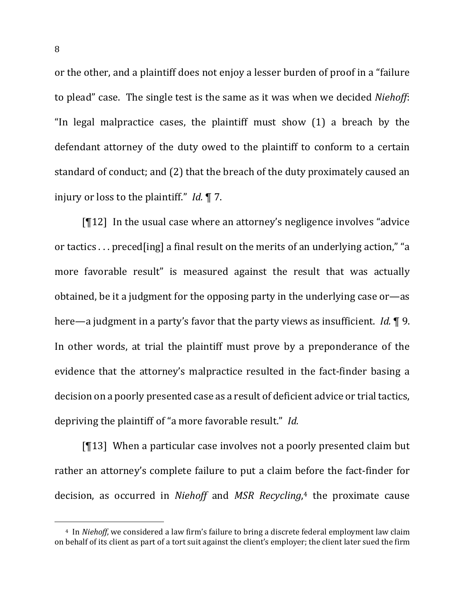or the other, and a plaintiff does not enjoy a lesser burden of proof in a "failure" to plead" case. The single test is the same as it was when we decided *Niehoff*: "In legal malpractice cases, the plaintiff must show  $(1)$  a breach by the defendant attorney of the duty owed to the plaintiff to conform to a certain standard of conduct; and (2) that the breach of the duty proximately caused an injury or loss to the plaintiff." *Id.* 17.

 $[T12]$  In the usual case where an attorney's negligence involves "advice" or tactics  $\ldots$  preced [ing] a final result on the merits of an underlying action," "a more favorable result" is measured against the result that was actually obtained, be it a judgment for the opposing party in the underlying case or  $-\text{as}$ here—a judgment in a party's favor that the party views as insufficient. *Id.* **[9.**] In other words, at trial the plaintiff must prove by a preponderance of the evidence that the attorney's malpractice resulted in the fact-finder basing a decision on a poorly presented case as a result of deficient advice or trial tactics, depriving the plaintiff of "a more favorable result." *Id.* 

 $[13]$  When a particular case involves not a poorly presented claim but rather an attorney's complete failure to put a claim before the fact-finder for decision, as occurred in *Niehoff* and *MSR Recycling*,<sup>4</sup> the proximate cause

<sup>&</sup>lt;sup>4</sup> In *Niehoff*, we considered a law firm's failure to bring a discrete federal employment law claim on behalf of its client as part of a tort suit against the client's employer; the client later sued the firm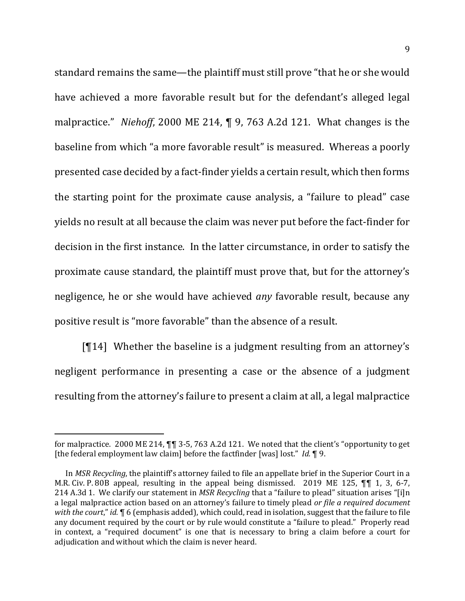standard remains the same—the plaintiff must still prove "that he or she would have achieved a more favorable result but for the defendant's alleged legal malpractice." *Niehoff*, 2000 ME 214,  $\P$  9, 763 A.2d 121. What changes is the baseline from which "a more favorable result" is measured. Whereas a poorly presented case decided by a fact-finder yields a certain result, which then forms the starting point for the proximate cause analysis, a "failure to plead" case yields no result at all because the claim was never put before the fact-finder for decision in the first instance. In the latter circumstance, in order to satisfy the proximate cause standard, the plaintiff must prove that, but for the attorney's negligence, he or she would have achieved *any* favorable result, because any positive result is "more favorable" than the absence of a result.

 $\P$ [14] Whether the baseline is a judgment resulting from an attorney's negligent performance in presenting a case or the absence of a judgment resulting from the attorney's failure to present a claim at all, a legal malpractice

for malpractice. 2000 ME 214,  $\P$  $\P$  3-5, 763 A.2d 121. We noted that the client's "opportunity to get [the federal employment law claim] before the factfinder [was] lost." *Id.* 19.

In *MSR Recycling*, the plaintiff's attorney failed to file an appellate brief in the Superior Court in a M.R. Civ. P. 80B appeal, resulting in the appeal being dismissed.  $2019$  ME 125,  $\P\P$  1, 3, 6-7, 214 A.3d 1. We clarify our statement in MSR Recycling that a "failure to plead" situation arises "[i]n a legal malpractice action based on an attorney's failure to timely plead *or file a required document* with the court," id.  $\sqrt{ }$  6 (emphasis added), which could, read in isolation, suggest that the failure to file any document required by the court or by rule would constitute a "failure to plead." Properly read in context, a "required document" is one that is necessary to bring a claim before a court for adjudication and without which the claim is never heard.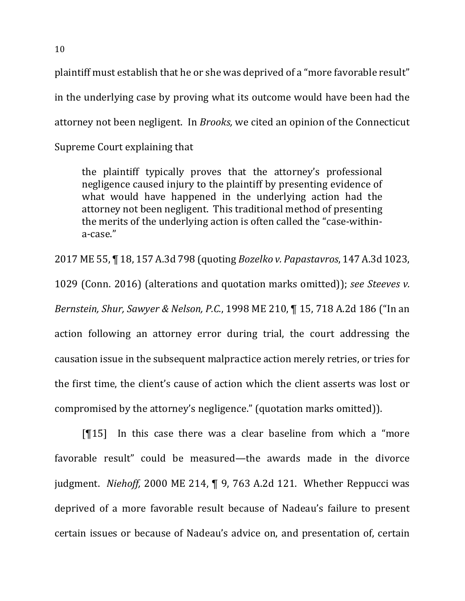plaintiff must establish that he or she was deprived of a "more favorable result" in the underlying case by proving what its outcome would have been had the attorney not been negligent. In *Brooks*, we cited an opinion of the Connecticut Supreme Court explaining that

the plaintiff typically proves that the attorney's professional negligence caused injury to the plaintiff by presenting evidence of what would have happened in the underlying action had the attorney not been negligent. This traditional method of presenting the merits of the underlying action is often called the "case-withina-case."

2017 ME 55, ¶ 18, 157 A.3d 798 (quoting *Bozelko v. Papastavros*, 147 A.3d 1023, 

1029 (Conn. 2016) (alterations and quotation marks omitted)); *see Steeves v. Bernstein, Shur, Sawyer & Nelson, P.C.*, 1998 ME 210, ¶ 15, 718 A.2d 186 ("In an action following an attorney error during trial, the court addressing the causation issue in the subsequent malpractice action merely retries, or tries for the first time, the client's cause of action which the client asserts was lost or compromised by the attorney's negligence." (quotation marks omitted)).

 $[15]$  In this case there was a clear baseline from which a "more" favorable result" could be measured—the awards made in the divorce judgment. *Niehoff*, 2000 ME 214, ¶ 9, 763 A.2d 121. Whether Reppucci was deprived of a more favorable result because of Nadeau's failure to present certain issues or because of Nadeau's advice on, and presentation of, certain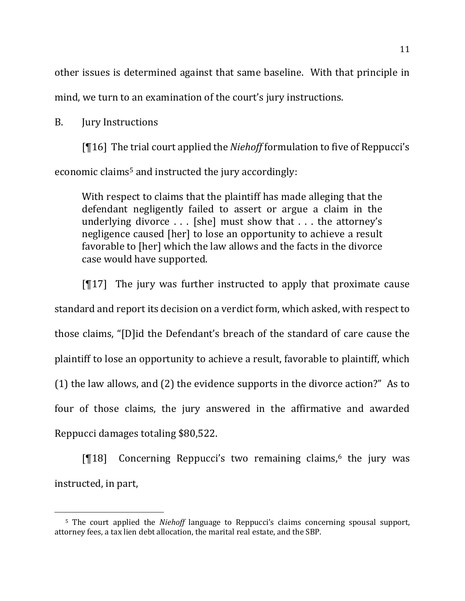other issues is determined against that same baseline. With that principle in mind, we turn to an examination of the court's jury instructions.

B. Jury Instructions

 $\overline{a}$ 

[¶16] The trial court applied the *Niehoff* formulation to five of Reppucci's economic claims<sup>5</sup> and instructed the jury accordingly:

With respect to claims that the plaintiff has made alleging that the defendant negligently failed to assert or argue a claim in the underlying divorce  $\ldots$  [she] must show that  $\ldots$  the attorney's negligence caused [her] to lose an opportunity to achieve a result favorable to [her] which the law allows and the facts in the divorce case would have supported.

 $[T17]$  The jury was further instructed to apply that proximate cause standard and report its decision on a verdict form, which asked, with respect to those claims, "[D]id the Defendant's breach of the standard of care cause the plaintiff to lose an opportunity to achieve a result, favorable to plaintiff, which (1) the law allows, and (2) the evidence supports in the divorce action?" As to four of those claims, the jury answered in the affirmative and awarded Reppucci damages totaling \$80,522.

 $[\![18]$  Concerning Reppucci's two remaining claims,<sup>6</sup> the jury was instructed, in part,

<sup>&</sup>lt;sup>5</sup> The court applied the *Niehoff* language to Reppucci's claims concerning spousal support, attorney fees, a tax lien debt allocation, the marital real estate, and the SBP.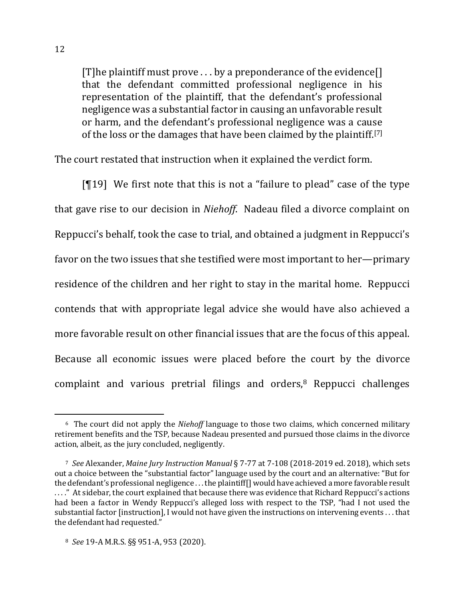[T] he plaintiff must prove  $\dots$  by a preponderance of the evidence [] that the defendant committed professional negligence in his representation of the plaintiff, that the defendant's professional negligence was a substantial factor in causing an unfavorable result or harm, and the defendant's professional negligence was a cause of the loss or the damages that have been claimed by the plaintiff.<sup>[7]</sup>

The court restated that instruction when it explained the verdict form.

 $[19]$  We first note that this is not a "failure to plead" case of the type that gave rise to our decision in *Niehoff*. Nadeau filed a divorce complaint on Reppucci's behalf, took the case to trial, and obtained a judgment in Reppucci's favor on the two issues that she testified were most important to her—primary residence of the children and her right to stay in the marital home. Reppucci contends that with appropriate legal advice she would have also achieved a more favorable result on other financial issues that are the focus of this appeal. Because all economic issues were placed before the court by the divorce complaint and various pretrial filings and orders, $8$  Reppucci challenges

<sup>&</sup>lt;sup>6</sup> The court did not apply the *Niehoff* language to those two claims, which concerned military retirement benefits and the TSP, because Nadeau presented and pursued those claims in the divorce action, albeit, as the jury concluded, negligently.

<sup>&</sup>lt;sup>7</sup> See Alexander, *Maine Jury Instruction Manual* § 7-77 at 7-108 (2018-2019 ed. 2018), which sets out a choice between the "substantial factor" language used by the court and an alternative: "But for the defendant's professional negligence  $\dots$  the plaintiff[] would have achieved a more favorable result ...." At sidebar, the court explained that because there was evidence that Richard Reppucci's actions had been a factor in Wendy Reppucci's alleged loss with respect to the TSP, "had I not used the substantial factor [instruction], I would not have given the instructions on intervening events ... that the defendant had requested."

<sup>8</sup> See 19-A M.R.S. §§ 951-A, 953 (2020).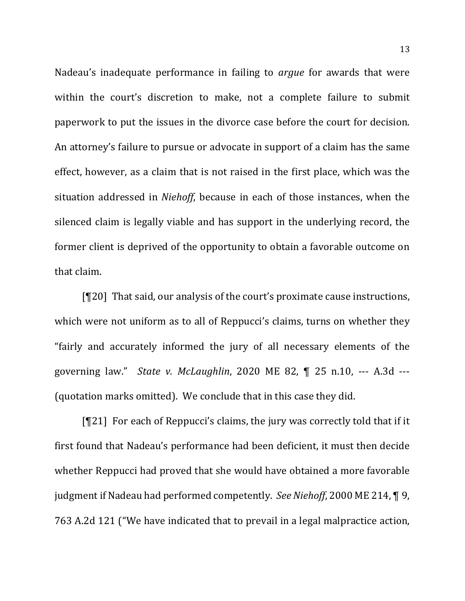Nadeau's inadequate performance in failing to *argue* for awards that were within the court's discretion to make, not a complete failure to submit paperwork to put the issues in the divorce case before the court for decision. An attorney's failure to pursue or advocate in support of a claim has the same effect, however, as a claim that is not raised in the first place, which was the situation addressed in *Niehoff*, because in each of those instances, when the silenced claim is legally viable and has support in the underlying record, the former client is deprived of the opportunity to obtain a favorable outcome on that claim.

 $[T20]$  That said, our analysis of the court's proximate cause instructions, which were not uniform as to all of Reppucci's claims, turns on whether they "fairly and accurately informed the jury of all necessary elements of the governing law." State v. McLaughlin, 2020 ME 82, ¶ 25 n.10, --- A.3d ---(quotation marks omitted). We conclude that in this case they did.

 $[T21]$  For each of Reppucci's claims, the jury was correctly told that if it first found that Nadeau's performance had been deficient, it must then decide whether Reppucci had proved that she would have obtained a more favorable judgment if Nadeau had performed competently. See Niehoff, 2000 ME 214,  $\P$  9, 763 A.2d 121 ("We have indicated that to prevail in a legal malpractice action,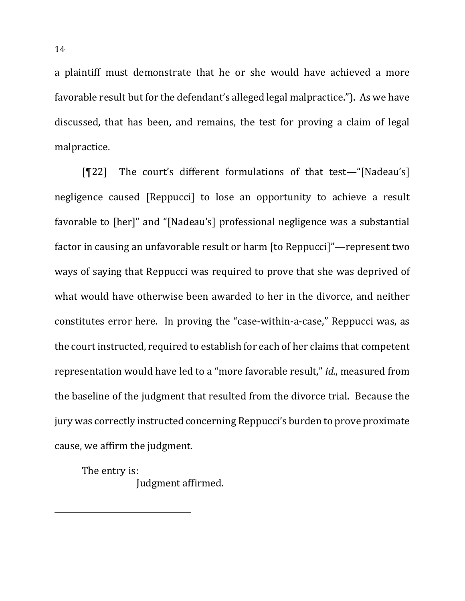a plaintiff must demonstrate that he or she would have achieved a more favorable result but for the defendant's alleged legal malpractice."). As we have discussed, that has been, and remains, the test for proving a claim of legal malpractice.

[¶22] The court's different formulations of that test—"[Nadeau's] negligence caused [Reppucci] to lose an opportunity to achieve a result favorable to [her]" and "[Nadeau's] professional negligence was a substantial factor in causing an unfavorable result or harm [to Reppucci]"—represent two ways of saying that Reppucci was required to prove that she was deprived of what would have otherwise been awarded to her in the divorce, and neither constitutes error here. In proving the "case-within-a-case," Reppucci was, as the court instructed, required to establish for each of her claims that competent representation would have led to a "more favorable result," *id.*, measured from the baseline of the judgment that resulted from the divorce trial. Because the jury was correctly instructed concerning Reppucci's burden to prove proximate cause, we affirm the judgment.

The entry is:

Judgment affirmed.